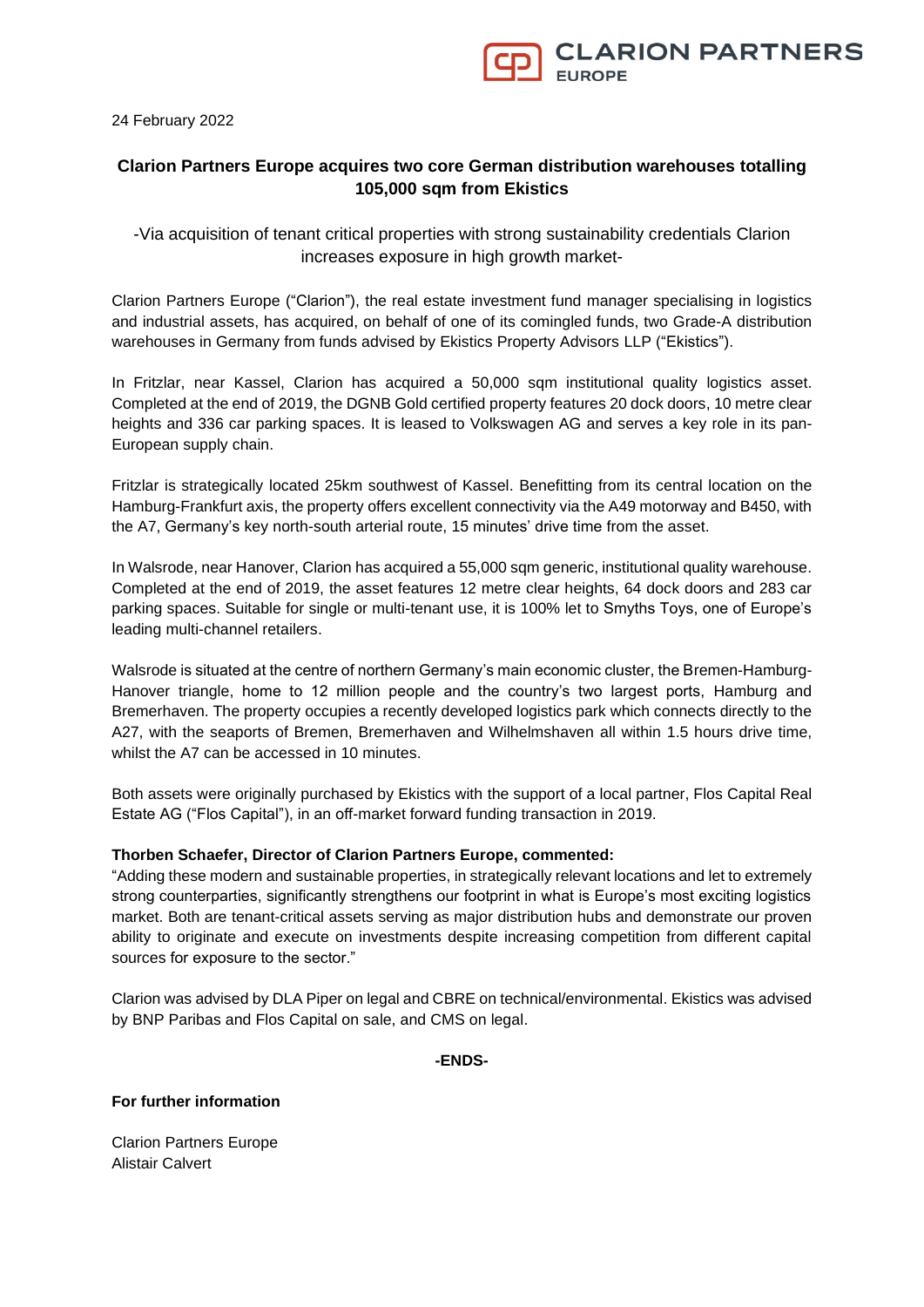24 February 2022

# **Clarion Partners Europe acquires two core German distribution warehouses totalling 105,000 sqm from Ekistics**

-Via acquisition of tenant critical properties with strong sustainability credentials Clarion increases exposure in high growth market-

Clarion Partners Europe ("Clarion"), the real estate investment fund manager specialising in logistics and industrial assets, has acquired, on behalf of one of its comingled funds, two Grade-A distribution warehouses in Germany from funds advised by Ekistics Property Advisors LLP ("Ekistics").

In Fritzlar, near Kassel, Clarion has acquired a 50,000 sqm institutional quality logistics asset. Completed at the end of 2019, the DGNB Gold certified property features 20 dock doors, 10 metre clear heights and 336 car parking spaces. It is leased to Volkswagen AG and serves a key role in its pan-European supply chain.

Fritzlar is strategically located 25km southwest of Kassel. Benefitting from its central location on the Hamburg-Frankfurt axis, the property offers excellent connectivity via the A49 motorway and B450, with the A7, Germany's key north-south arterial route, 15 minutes' drive time from the asset.

In Walsrode, near Hanover, Clarion has acquired a 55,000 sqm generic, institutional quality warehouse. Completed at the end of 2019, the asset features 12 metre clear heights, 64 dock doors and 283 car parking spaces. Suitable for single or multi-tenant use, it is 100% let to Smyths Toys, one of Europe's leading multi-channel retailers.

Walsrode is situated at the centre of northern Germany's main economic cluster, the Bremen-Hamburg-Hanover triangle, home to 12 million people and the country's two largest ports, Hamburg and Bremerhaven. The property occupies a recently developed logistics park which connects directly to the A27, with the seaports of Bremen, Bremerhaven and Wilhelmshaven all within 1.5 hours drive time, whilst the A7 can be accessed in 10 minutes.

Both assets were originally purchased by Ekistics with the support of a local partner, Flos Capital Real Estate AG ("Flos Capital"), in an off-market forward funding transaction in 2019.

## **Thorben Schaefer, Director of Clarion Partners Europe, commented:**

"Adding these modern and sustainable properties, in strategically relevant locations and let to extremely strong counterparties, significantly strengthens our footprint in what is Europe's most exciting logistics market. Both are tenant-critical assets serving as major distribution hubs and demonstrate our proven ability to originate and execute on investments despite increasing competition from different capital sources for exposure to the sector."

Clarion was advised by DLA Piper on legal and CBRE on technical/environmental. Ekistics was advised by BNP Paribas and Flos Capital on sale, and CMS on legal.

**-ENDS-**

## **For further information**

Clarion Partners Europe Alistair Calvert